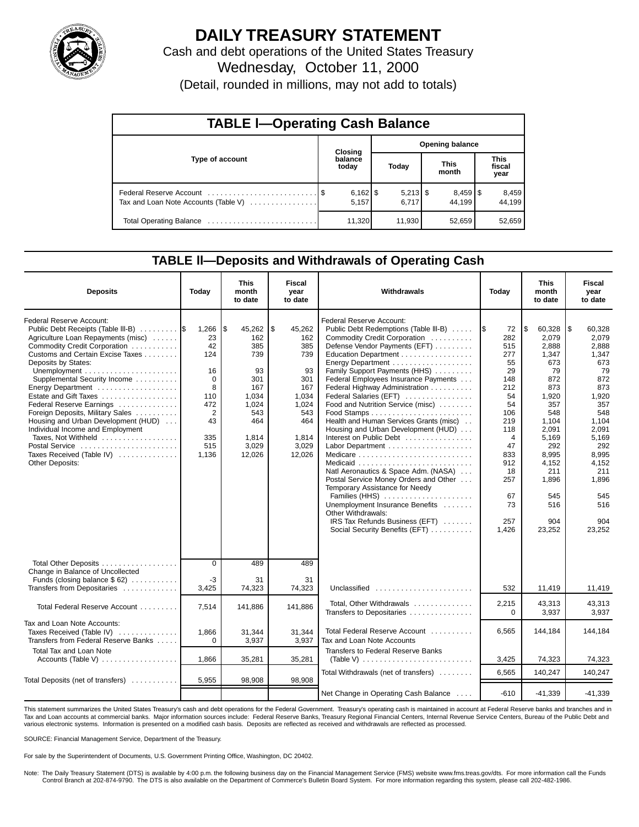

# **DAILY TREASURY STATEMENT**

Cash and debt operations of the United States Treasury Wednesday, October 11, 2000

(Detail, rounded in millions, may not add to totals)

| <b>TABLE I-Operating Cash Balance</b> |  |                  |                        |        |  |                                 |  |                               |  |  |
|---------------------------------------|--|------------------|------------------------|--------|--|---------------------------------|--|-------------------------------|--|--|
|                                       |  | <b>Closing</b>   | <b>Opening balance</b> |        |  |                                 |  |                               |  |  |
| Type of account                       |  | balance<br>today |                        | Today  |  | <b>This</b><br>month            |  | <b>This</b><br>fiscal<br>year |  |  |
| Tax and Loan Note Accounts (Table V)  |  | 5.157            |                        | 6.717  |  | $8,459$ $\frac{8}{3}$<br>44.199 |  | 8,459<br>44,199               |  |  |
|                                       |  | 11,320           |                        | 11,930 |  | 52.659                          |  | 52,659                        |  |  |

## **TABLE ll—Deposits and Withdrawals of Operating Cash**

| <b>Deposits</b>                                                                                                                                                                                                                                                                                                                                                                                                                                                                              | Today                                                                                                           | <b>This</b><br>month<br>to date                                                                                    | Fiscal<br>vear<br>to date                                                                                         | Withdrawals                                                                                                                                                                                                                                                                                                                                                                                                                                                                                                                                                                                                                                                                                                                              |                                                                                                                                                             | <b>This</b><br>month<br>to date                                                                                                                                                                | <b>Fiscal</b><br>year<br>to date                                                                                                                                                              |
|----------------------------------------------------------------------------------------------------------------------------------------------------------------------------------------------------------------------------------------------------------------------------------------------------------------------------------------------------------------------------------------------------------------------------------------------------------------------------------------------|-----------------------------------------------------------------------------------------------------------------|--------------------------------------------------------------------------------------------------------------------|-------------------------------------------------------------------------------------------------------------------|------------------------------------------------------------------------------------------------------------------------------------------------------------------------------------------------------------------------------------------------------------------------------------------------------------------------------------------------------------------------------------------------------------------------------------------------------------------------------------------------------------------------------------------------------------------------------------------------------------------------------------------------------------------------------------------------------------------------------------------|-------------------------------------------------------------------------------------------------------------------------------------------------------------|------------------------------------------------------------------------------------------------------------------------------------------------------------------------------------------------|-----------------------------------------------------------------------------------------------------------------------------------------------------------------------------------------------|
| Federal Reserve Account:<br>Public Debt Receipts (Table III-B)<br>Agriculture Loan Repayments (misc)<br>Commodity Credit Corporation<br>Customs and Certain Excise Taxes<br>Deposits by States:<br>Supplemental Security Income<br>Estate and Gift Taxes<br>Federal Reserve Earnings<br>Foreign Deposits, Military Sales<br>Housing and Urban Development (HUD)<br>Individual Income and Employment<br>Taxes, Not Withheld<br>Postal Service<br>Taxes Received (Table IV)<br>Other Deposits: | 1,266<br>23<br>42<br>124<br>16<br>$\mathbf 0$<br>8<br>110<br>472<br>$\overline{2}$<br>43<br>335<br>515<br>1,136 | 45,262<br>l\$<br>162<br>385<br>739<br>93<br>301<br>167<br>1,034<br>1,024<br>543<br>464<br>1,814<br>3,029<br>12,026 | \$<br>45,262<br>162<br>385<br>739<br>93<br>301<br>167<br>1,034<br>1,024<br>543<br>464<br>1,814<br>3,029<br>12,026 | Federal Reserve Account:<br>Public Debt Redemptions (Table III-B)<br>Commodity Credit Corporation<br>Defense Vendor Payments (EFT)<br>Education Department<br>Energy Department<br>Family Support Payments (HHS)<br>Federal Employees Insurance Payments<br>Federal Highway Administration<br>Federal Salaries (EFT)<br>Food and Nutrition Service (misc)<br>Health and Human Services Grants (misc)<br>Housing and Urban Development (HUD)<br>Interest on Public Debt<br>Natl Aeronautics & Space Adm. (NASA)<br>Postal Service Money Orders and Other<br>Temporary Assistance for Needy<br>Families (HHS)<br>Unemployment Insurance Benefits<br>Other Withdrawals:<br>IRS Tax Refunds Business (EFT)<br>Social Security Benefits (EFT) | 1\$<br>72<br>282<br>515<br>277<br>55<br>29<br>148<br>212<br>54<br>54<br>106<br>219<br>118<br>4<br>47<br>833<br>912<br>18<br>257<br>67<br>73<br>257<br>1,426 | ا \$<br>60,328<br>2,079<br>2,888<br>1,347<br>673<br>79<br>872<br>873<br>1,920<br>357<br>548<br>1,104<br>2,091<br>5,169<br>292<br>8,995<br>4,152<br>211<br>1,896<br>545<br>516<br>904<br>23,252 | l\$<br>60,328<br>2,079<br>2,888<br>1,347<br>673<br>79<br>872<br>873<br>1,920<br>357<br>548<br>1,104<br>2,091<br>5,169<br>292<br>8,995<br>4,152<br>211<br>1,896<br>545<br>516<br>904<br>23,252 |
| Total Other Deposits<br>Change in Balance of Uncollected<br>Funds (closing balance $$62)$<br>Transfers from Depositaries                                                                                                                                                                                                                                                                                                                                                                     | $\overline{0}$<br>-3<br>3,425                                                                                   | 489<br>31<br>74,323                                                                                                | 489<br>31<br>74,323                                                                                               | Unclassified                                                                                                                                                                                                                                                                                                                                                                                                                                                                                                                                                                                                                                                                                                                             | 532                                                                                                                                                         | 11,419                                                                                                                                                                                         | 11,419                                                                                                                                                                                        |
| Total Federal Reserve Account                                                                                                                                                                                                                                                                                                                                                                                                                                                                | 7,514                                                                                                           | 141,886                                                                                                            | 141,886                                                                                                           | Total, Other Withdrawals<br>Transfers to Depositaries                                                                                                                                                                                                                                                                                                                                                                                                                                                                                                                                                                                                                                                                                    | 2,215<br>$\Omega$                                                                                                                                           | 43,313<br>3,937                                                                                                                                                                                | 43,313<br>3,937                                                                                                                                                                               |
| Tax and Loan Note Accounts:<br>Taxes Received (Table IV)<br>Transfers from Federal Reserve Banks                                                                                                                                                                                                                                                                                                                                                                                             | 1.866<br>$\Omega$                                                                                               | 31,344<br>3,937                                                                                                    | 31.344<br>3,937                                                                                                   | Total Federal Reserve Account<br>Tax and Loan Note Accounts                                                                                                                                                                                                                                                                                                                                                                                                                                                                                                                                                                                                                                                                              | 6,565                                                                                                                                                       | 144,184                                                                                                                                                                                        | 144.184                                                                                                                                                                                       |
| <b>Total Tax and Loan Note</b><br>Accounts (Table V) $\dots \dots \dots \dots \dots$                                                                                                                                                                                                                                                                                                                                                                                                         | 1,866                                                                                                           | 35,281                                                                                                             | 35,281                                                                                                            | Transfers to Federal Reserve Banks                                                                                                                                                                                                                                                                                                                                                                                                                                                                                                                                                                                                                                                                                                       | 3,425                                                                                                                                                       | 74,323                                                                                                                                                                                         | 74,323                                                                                                                                                                                        |
| Total Deposits (net of transfers)                                                                                                                                                                                                                                                                                                                                                                                                                                                            | 5,955                                                                                                           | 98,908                                                                                                             | 98,908                                                                                                            | Total Withdrawals (net of transfers)                                                                                                                                                                                                                                                                                                                                                                                                                                                                                                                                                                                                                                                                                                     | 6,565                                                                                                                                                       | 140,247                                                                                                                                                                                        | 140,247                                                                                                                                                                                       |
|                                                                                                                                                                                                                                                                                                                                                                                                                                                                                              |                                                                                                                 |                                                                                                                    |                                                                                                                   | Net Change in Operating Cash Balance                                                                                                                                                                                                                                                                                                                                                                                                                                                                                                                                                                                                                                                                                                     | $-610$                                                                                                                                                      | $-41.339$                                                                                                                                                                                      | $-41,339$                                                                                                                                                                                     |

This statement summarizes the United States Treasury's cash and debt operations for the Federal Government. Treasury's operating cash is maintained in account at Federal Reserve banks and branches and in<br>Tax and Loan accou various electronic systems. Information is presented on a modified cash basis. Deposits are reflected as received and withdrawals are reflected as processed.

SOURCE: Financial Management Service, Department of the Treasury.

For sale by the Superintendent of Documents, U.S. Government Printing Office, Washington, DC 20402.

Note: The Daily Treasury Statement (DTS) is available by 4:00 p.m. the following business day on the Financial Management Service (FMS) website www.fms.treas.gov/dts. For more information call the Funds Control Branch at 202-874-9790. The DTS is also available on the Department of Commerce's Bulletin Board System. For more information regarding this system, please call 202-482-1986.